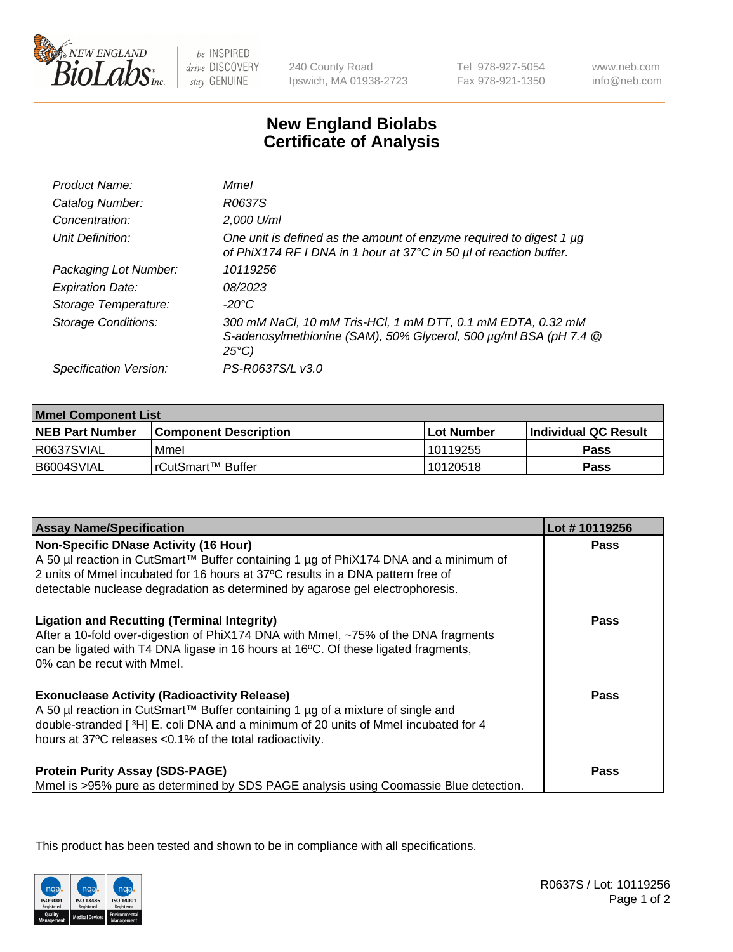

be INSPIRED drive DISCOVERY stay GENUINE

240 County Road Ipswich, MA 01938-2723 Tel 978-927-5054 Fax 978-921-1350

www.neb.com info@neb.com

## **New England Biolabs Certificate of Analysis**

| Product Name:              | Mmel                                                                                                                                                |
|----------------------------|-----------------------------------------------------------------------------------------------------------------------------------------------------|
| Catalog Number:            | R0637S                                                                                                                                              |
| Concentration:             | 2,000 U/ml                                                                                                                                          |
| Unit Definition:           | One unit is defined as the amount of enzyme required to digest 1 µg<br>of PhiX174 RF I DNA in 1 hour at 37°C in 50 µl of reaction buffer.           |
| Packaging Lot Number:      | 10119256                                                                                                                                            |
| <b>Expiration Date:</b>    | 08/2023                                                                                                                                             |
| Storage Temperature:       | -20°C                                                                                                                                               |
| <b>Storage Conditions:</b> | 300 mM NaCl, 10 mM Tris-HCl, 1 mM DTT, 0.1 mM EDTA, 0.32 mM<br>S-adenosylmethionine (SAM), 50% Glycerol, 500 µg/ml BSA (pH 7.4 @<br>$25^{\circ}C$ ) |
| Specification Version:     | PS-R0637S/L v3.0                                                                                                                                    |
|                            |                                                                                                                                                     |

| <b>Mmel Component List</b> |                              |                   |                       |  |
|----------------------------|------------------------------|-------------------|-----------------------|--|
| <b>NEB Part Number</b>     | <b>Component Description</b> | <b>Lot Number</b> | ∣Individual QC Result |  |
| R0637SVIAL                 | Mmel                         | 10119255          | Pass                  |  |
| B6004SVIAL                 | l rCutSmart™ Buffer          | 10120518          | Pass                  |  |

| <b>Assay Name/Specification</b>                                                                                                                                                                                                                                                                   | Lot #10119256 |
|---------------------------------------------------------------------------------------------------------------------------------------------------------------------------------------------------------------------------------------------------------------------------------------------------|---------------|
| Non-Specific DNase Activity (16 Hour)<br>A 50 µl reaction in CutSmart™ Buffer containing 1 µg of PhiX174 DNA and a minimum of<br>2 units of Mmel incubated for 16 hours at 37°C results in a DNA pattern free of<br>detectable nuclease degradation as determined by agarose gel electrophoresis. | Pass          |
| <b>Ligation and Recutting (Terminal Integrity)</b><br>After a 10-fold over-digestion of PhiX174 DNA with Mmel, ~75% of the DNA fragments<br>can be ligated with T4 DNA ligase in 16 hours at 16°C. Of these ligated fragments,<br>0% can be recut with Mmel.                                      | Pass          |
| <b>Exonuclease Activity (Radioactivity Release)</b><br>A 50 µl reaction in CutSmart™ Buffer containing 1 µg of a mixture of single and<br>double-stranded [3H] E. coli DNA and a minimum of 20 units of Mmel incubated for 4<br>hours at 37°C releases <0.1% of the total radioactivity.          | Pass          |
| <b>Protein Purity Assay (SDS-PAGE)</b><br>Mmel is >95% pure as determined by SDS PAGE analysis using Coomassie Blue detection.                                                                                                                                                                    | Pass          |

This product has been tested and shown to be in compliance with all specifications.